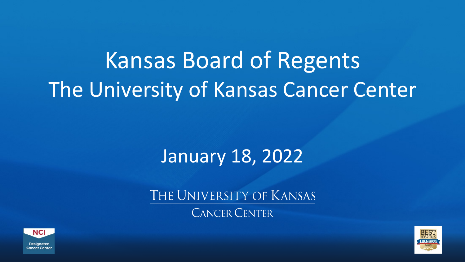### Kansas Board of Regents The University of Kansas Cancer Center

#### January 18, 2022

THE UNIVERSITY OF KANSAS

**CANCER CENTER** 



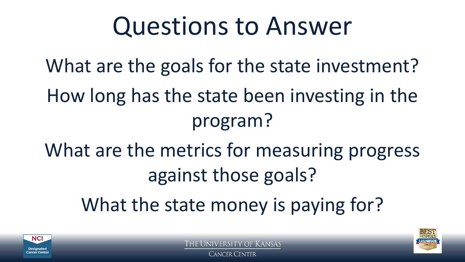## Questions to Answer

What are the goals for the state investment? How long has the state been investing in the program?

What are the metrics for measuring progress against those goals?

What the state money is paying for?





**CANCER CENTER**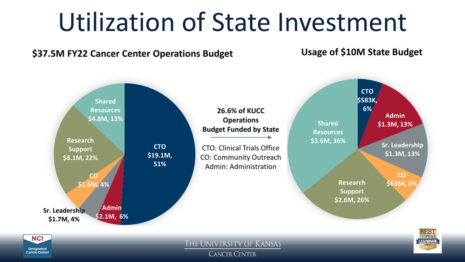# Utilization of State Investment

#### **\$37.5M FY22 Cancer Center Operations Budget**

**Usage of \$10M State Budget**



**Designated Cancer Center** 

**CANCER CENTER**